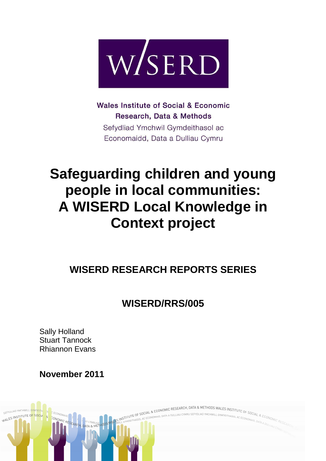

Wales Institute of Social & Economic Research, Data & Methods Sefydliad Ymchwil Gymdeithasol ac Economaidd, Data a Dulliau Cymru

# **Safeguarding children and young people in local communities: A WISERD Local Knowledge in Context project**

**WISERD RESEARCH REPORTS SERIES** 

# **WISERD/RRS/005**

Sally Holland Stuart Tannock Rhiannon Evans

**November 2011** 

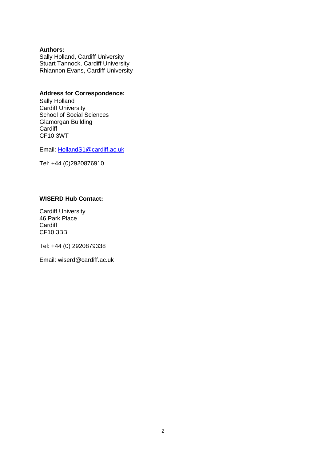# **Authors:**

Sally Holland, Cardiff University Stuart Tannock, Cardiff University Rhiannon Evans, Cardiff University

# **Address for Correspondence:**

Sally Holland Cardiff University School of Social Sciences Glamorgan Building **Cardiff** CF10 3WT

Email: HollandS1@cardiff.ac.uk

Tel: +44 (0)2920876910

# **WISERD Hub Contact:**

Cardiff University 46 Park Place **Cardiff** CF10 3BB

Tel: +44 (0) 2920879338

Email: wiserd@cardiff.ac.uk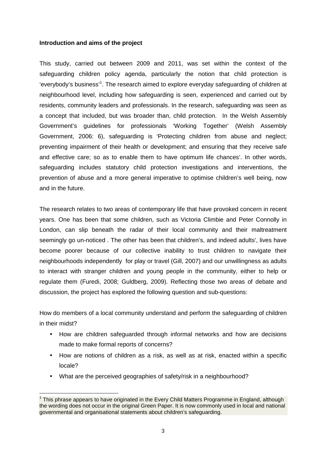# **Introduction and aims of the project**

This study, carried out between 2009 and 2011, was set within the context of the safeguarding children policy agenda, particularly the notion that child protection is 'everybody's business'<sup>1</sup>. The research aimed to explore everyday safeguarding of children at neighbourhood level, including how safeguarding is seen, experienced and carried out by residents, community leaders and professionals. In the research, safeguarding was seen as a concept that included, but was broader than, child protection. In the Welsh Assembly Government's guidelines for professionals 'Working Together' (Welsh Assembly Government, 2006: 6), safeguarding is 'Protecting children from abuse and neglect; preventing impairment of their health or development; and ensuring that they receive safe and effective care; so as to enable them to have optimum life chances'. In other words, safeguarding includes statutory child protection investigations and interventions, the prevention of abuse and a more general imperative to optimise children's well being, now and in the future.

The research relates to two areas of contemporary life that have provoked concern in recent years. One has been that some children, such as Victoria Climbie and Peter Connolly in London, can slip beneath the radar of their local community and their maltreatment seemingly go un-noticed . The other has been that children's, and indeed adults', lives have become poorer because of our collective inability to trust children to navigate their neighbourhoods independently for play or travel (Gill, 2007) and our unwillingness as adults to interact with stranger children and young people in the community, either to help or regulate them (Furedi, 2008; Guldberg, 2009). Reflecting those two areas of debate and discussion, the project has explored the following question and sub-questions:

How do members of a local community understand and perform the safeguarding of children in their midst?

- How are children safeguarded through informal networks and how are decisions made to make formal reports of concerns?
- How are notions of children as a risk, as well as at risk, enacted within a specific locale?
- What are the perceived geographies of safety/risk in a neighbourhood?

 $\overline{a}$ <sup>1</sup> This phrase appears to have originated in the Every Child Matters Programme in England, although the wording does not occur in the original Green Paper. It is now commonly used in local and national governmental and organisational statements about children's safeguarding.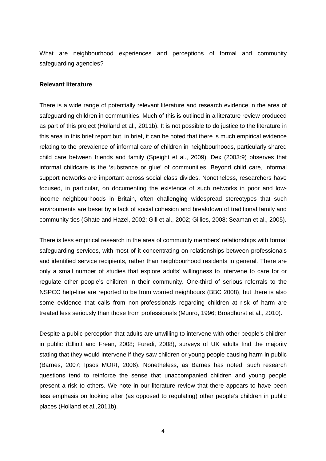What are neighbourhood experiences and perceptions of formal and community safeguarding agencies?

#### **Relevant literature**

There is a wide range of potentially relevant literature and research evidence in the area of safeguarding children in communities. Much of this is outlined in a literature review produced as part of this project (Holland et al., 2011b). It is not possible to do justice to the literature in this area in this brief report but, in brief, it can be noted that there is much empirical evidence relating to the prevalence of informal care of children in neighbourhoods, particularly shared child care between friends and family (Speight et al., 2009). Dex (2003:9) observes that informal childcare is the 'substance or glue' of communities. Beyond child care, informal support networks are important across social class divides. Nonetheless, researchers have focused, in particular, on documenting the existence of such networks in poor and lowincome neighbourhoods in Britain, often challenging widespread stereotypes that such environments are beset by a lack of social cohesion and breakdown of traditional family and community ties (Ghate and Hazel, 2002; Gill et al., 2002; Gillies, 2008; Seaman et al., 2005).

There is less empirical research in the area of community members' relationships with formal safeguarding services, with most of it concentrating on relationships between professionals and identified service recipients, rather than neighbourhood residents in general. There are only a small number of studies that explore adults' willingness to intervene to care for or regulate other people's children in their community. One-third of serious referrals to the NSPCC help-line are reported to be from worried neighbours (BBC 2008), but there is also some evidence that calls from non-professionals regarding children at risk of harm are treated less seriously than those from professionals (Munro, 1996; Broadhurst et al., 2010).

Despite a public perception that adults are unwilling to intervene with other people's children in public (Elliott and Frean, 2008; Furedi, 2008), surveys of UK adults find the majority stating that they would intervene if they saw children or young people causing harm in public (Barnes, 2007; Ipsos MORI, 2006). Nonetheless, as Barnes has noted, such research questions tend to reinforce the sense that unaccompanied children and young people present a risk to others. We note in our literature review that there appears to have been less emphasis on looking after (as opposed to regulating) other people's children in public places (Holland et al.,2011b).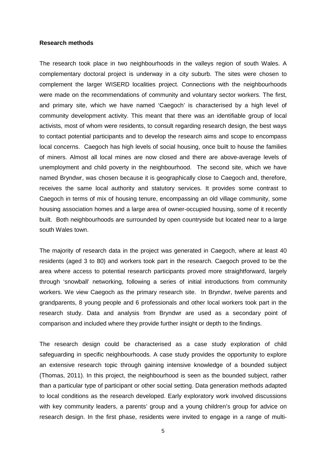# **Research methods**

The research took place in two neighbourhoods in the valleys region of south Wales. A complementary doctoral project is underway in a city suburb. The sites were chosen to complement the larger WISERD localities project. Connections with the neighbourhoods were made on the recommendations of community and voluntary sector workers. The first, and primary site, which we have named 'Caegoch' is characterised by a high level of community development activity. This meant that there was an identifiable group of local activists, most of whom were residents, to consult regarding research design, the best ways to contact potential participants and to develop the research aims and scope to encompass local concerns. Caegoch has high levels of social housing, once built to house the families of miners. Almost all local mines are now closed and there are above-average levels of unemployment and child poverty in the neighbourhood. The second site, which we have named Bryndwr, was chosen because it is geographically close to Caegoch and, therefore, receives the same local authority and statutory services. It provides some contrast to Caegoch in terms of mix of housing tenure, encompassing an old village community, some housing association homes and a large area of owner-occupied housing, some of it recently built. Both neighbourhoods are surrounded by open countryside but located near to a large south Wales town.

The majority of research data in the project was generated in Caegoch, where at least 40 residents (aged 3 to 80) and workers took part in the research. Caegoch proved to be the area where access to potential research participants proved more straightforward, largely through 'snowball' networking, following a series of initial introductions from community workers. We view Caegoch as the primary research site. In Bryndwr, twelve parents and grandparents, 8 young people and 6 professionals and other local workers took part in the research study. Data and analysis from Bryndwr are used as a secondary point of comparison and included where they provide further insight or depth to the findings.

The research design could be characterised as a case study exploration of child safeguarding in specific neighbourhoods. A case study provides the opportunity to explore an extensive research topic through gaining intensive knowledge of a bounded subject (Thomas, 2011). In this project, the neighbourhood is seen as the bounded subject, rather than a particular type of participant or other social setting. Data generation methods adapted to local conditions as the research developed. Early exploratory work involved discussions with key community leaders, a parents' group and a young children's group for advice on research design. In the first phase, residents were invited to engage in a range of multi-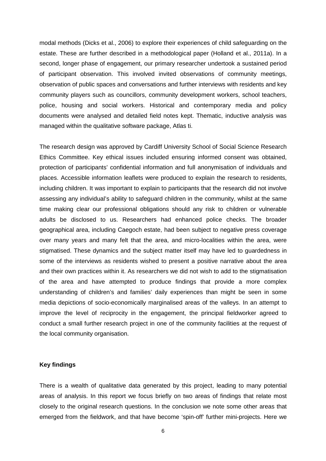modal methods (Dicks et al., 2006) to explore their experiences of child safeguarding on the estate. These are further described in a methodological paper (Holland et al., 2011a). In a second, longer phase of engagement, our primary researcher undertook a sustained period of participant observation. This involved invited observations of community meetings, observation of public spaces and conversations and further interviews with residents and key community players such as councillors, community development workers, school teachers, police, housing and social workers. Historical and contemporary media and policy documents were analysed and detailed field notes kept. Thematic, inductive analysis was managed within the qualitative software package, Atlas ti.

The research design was approved by Cardiff University School of Social Science Research Ethics Committee. Key ethical issues included ensuring informed consent was obtained, protection of participants' confidential information and full anonymisation of individuals and places. Accessible information leaflets were produced to explain the research to residents, including children. It was important to explain to participants that the research did not involve assessing any individual's ability to safeguard children in the community, whilst at the same time making clear our professional obligations should any risk to children or vulnerable adults be disclosed to us. Researchers had enhanced police checks. The broader geographical area, including Caegoch estate, had been subject to negative press coverage over many years and many felt that the area, and micro-localities within the area, were stigmatised. These dynamics and the subject matter itself may have led to guardedness in some of the interviews as residents wished to present a positive narrative about the area and their own practices within it. As researchers we did not wish to add to the stigmatisation of the area and have attempted to produce findings that provide a more complex understanding of children's and families' daily experiences than might be seen in some media depictions of socio-economically marginalised areas of the valleys. In an attempt to improve the level of reciprocity in the engagement, the principal fieldworker agreed to conduct a small further research project in one of the community facilities at the request of the local community organisation.

# **Key findings**

There is a wealth of qualitative data generated by this project, leading to many potential areas of analysis. In this report we focus briefly on two areas of findings that relate most closely to the original research questions. In the conclusion we note some other areas that emerged from the fieldwork, and that have become 'spin-off' further mini-projects. Here we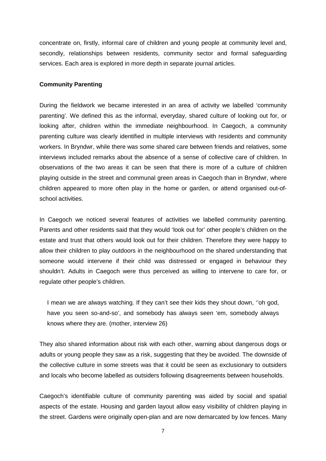concentrate on, firstly, informal care of children and young people at community level and, secondly, relationships between residents, community sector and formal safeguarding services. Each area is explored in more depth in separate journal articles.

#### **Community Parenting**

During the fieldwork we became interested in an area of activity we labelled 'community parenting'. We defined this as the informal, everyday, shared culture of looking out for, or looking after, children within the immediate neighbourhood. In Caegoch, a community parenting culture was clearly identified in multiple interviews with residents and community workers. In Bryndwr, while there was some shared care between friends and relatives, some interviews included remarks about the absence of a sense of collective care of children. In observations of the two areas it can be seen that there is more of a culture of children playing outside in the street and communal green areas in Caegoch than in Bryndwr, where children appeared to more often play in the home or garden, or attend organised out-ofschool activities.

In Caegoch we noticed several features of activities we labelled community parenting. Parents and other residents said that they would 'look out for' other people's children on the estate and trust that others would look out for their children. Therefore they were happy to allow their children to play outdoors in the neighbourhood on the shared understanding that someone would intervene if their child was distressed or engaged in behaviour they shouldn't. Adults in Caegoch were thus perceived as willing to intervene to care for, or regulate other people's children.

I mean we are always watching. If they can't see their kids they shout down, ''oh god, have you seen so-and-so', and somebody has always seen 'em, somebody always knows where they are. (mother, interview 26)

They also shared information about risk with each other, warning about dangerous dogs or adults or young people they saw as a risk, suggesting that they be avoided. The downside of the collective culture in some streets was that it could be seen as exclusionary to outsiders and locals who become labelled as outsiders following disagreements between households.

Caegoch's identifiable culture of community parenting was aided by social and spatial aspects of the estate. Housing and garden layout allow easy visibility of children playing in the street. Gardens were originally open-plan and are now demarcated by low fences. Many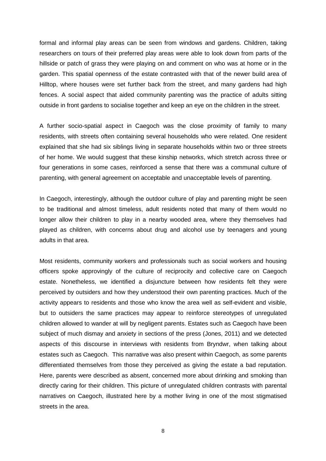formal and informal play areas can be seen from windows and gardens. Children, taking researchers on tours of their preferred play areas were able to look down from parts of the hillside or patch of grass they were playing on and comment on who was at home or in the garden. This spatial openness of the estate contrasted with that of the newer build area of Hilltop, where houses were set further back from the street, and many gardens had high fences. A social aspect that aided community parenting was the practice of adults sitting outside in front gardens to socialise together and keep an eye on the children in the street.

A further socio-spatial aspect in Caegoch was the close proximity of family to many residents, with streets often containing several households who were related. One resident explained that she had six siblings living in separate households within two or three streets of her home. We would suggest that these kinship networks, which stretch across three or four generations in some cases, reinforced a sense that there was a communal culture of parenting, with general agreement on acceptable and unacceptable levels of parenting.

In Caegoch, interestingly, although the outdoor culture of play and parenting might be seen to be traditional and almost timeless, adult residents noted that many of them would no longer allow their children to play in a nearby wooded area, where they themselves had played as children, with concerns about drug and alcohol use by teenagers and young adults in that area.

Most residents, community workers and professionals such as social workers and housing officers spoke approvingly of the culture of reciprocity and collective care on Caegoch estate. Nonetheless, we identified a disjuncture between how residents felt they were perceived by outsiders and how they understood their own parenting practices. Much of the activity appears to residents and those who know the area well as self-evident and visible, but to outsiders the same practices may appear to reinforce stereotypes of unregulated children allowed to wander at will by negligent parents. Estates such as Caegoch have been subject of much dismay and anxiety in sections of the press (Jones, 2011) and we detected aspects of this discourse in interviews with residents from Bryndwr, when talking about estates such as Caegoch. This narrative was also present within Caegoch, as some parents differentiated themselves from those they perceived as giving the estate a bad reputation. Here, parents were described as absent, concerned more about drinking and smoking than directly caring for their children. This picture of unregulated children contrasts with parental narratives on Caegoch, illustrated here by a mother living in one of the most stigmatised streets in the area.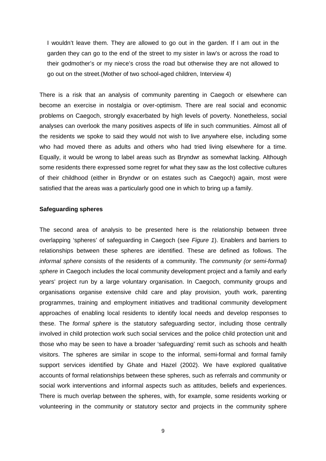I wouldn't leave them. They are allowed to go out in the garden. If I am out in the garden they can go to the end of the street to my sister in law's or across the road to their godmother's or my niece's cross the road but otherwise they are not allowed to go out on the street.(Mother of two school-aged children, Interview 4)

There is a risk that an analysis of community parenting in Caegoch or elsewhere can become an exercise in nostalgia or over-optimism. There are real social and economic problems on Caegoch, strongly exacerbated by high levels of poverty. Nonetheless, social analyses can overlook the many positives aspects of life in such communities. Almost all of the residents we spoke to said they would not wish to live anywhere else, including some who had moved there as adults and others who had tried living elsewhere for a time. Equally, it would be wrong to label areas such as Bryndwr as somewhat lacking. Although some residents there expressed some regret for what they saw as the lost collective cultures of their childhood (either in Bryndwr or on estates such as Caegoch) again, most were satisfied that the areas was a particularly good one in which to bring up a family.

# **Safeguarding spheres**

The second area of analysis to be presented here is the relationship between three overlapping 'spheres' of safeguarding in Caegoch (see Figure 1). Enablers and barriers to relationships between these spheres are identified. These are defined as follows. The informal sphere consists of the residents of a community. The *community (or semi-formal)* sphere in Caegoch includes the local community development project and a family and early years' project run by a large voluntary organisation. In Caegoch, community groups and organisations organise extensive child care and play provision, youth work, parenting programmes, training and employment initiatives and traditional community development approaches of enabling local residents to identify local needs and develop responses to these. The formal sphere is the statutory safeguarding sector, including those centrally involved in child protection work such social services and the police child protection unit and those who may be seen to have a broader 'safeguarding' remit such as schools and health visitors. The spheres are similar in scope to the informal, semi-formal and formal family support services identified by Ghate and Hazel (2002). We have explored qualitative accounts of formal relationships between these spheres, such as referrals and community or social work interventions and informal aspects such as attitudes, beliefs and experiences. There is much overlap between the spheres, with, for example, some residents working or volunteering in the community or statutory sector and projects in the community sphere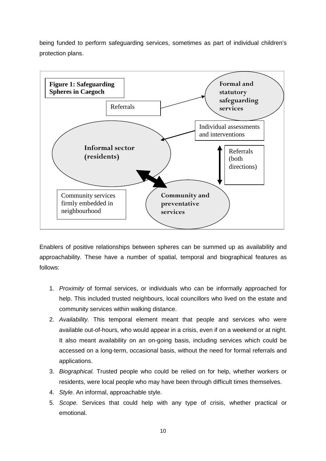being funded to perform safeguarding services, sometimes as part of individual children's protection plans.



Enablers of positive relationships between spheres can be summed up as availability and approachability. These have a number of spatial, temporal and biographical features as follows:

- 1. Proximity of formal services, or individuals who can be informally approached for help. This included trusted neighbours, local councillors who lived on the estate and community services within walking distance.
- 2. Availability. This temporal element meant that people and services who were available out-of-hours, who would appear in a crisis, even if on a weekend or at night. It also meant availability on an on-going basis, including services which could be accessed on a long-term, occasional basis, without the need for formal referrals and applications.
- 3. Biographical. Trusted people who could be relied on for help, whether workers or residents, were local people who may have been through difficult times themselves.
- 4. Style. An informal, approachable style.
- 5. Scope. Services that could help with any type of crisis, whether practical or emotional.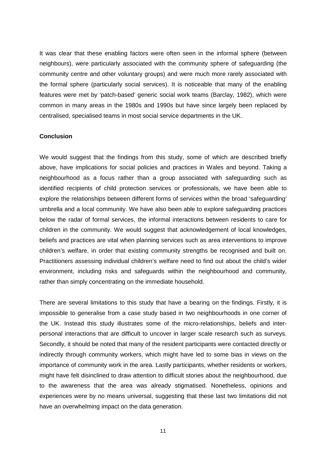It was clear that these enabling factors were often seen in the informal sphere (between neighbours), were particularly associated with the community sphere of safeguarding (the community centre and other voluntary groups) and were much more rarely associated with the formal sphere (particularly social services). It is noticeable that many of the enabling features were met by 'patch-based' generic social work teams (Barclay, 1982), which were common in many areas in the 1980s and 1990s but have since largely been replaced by centralised, specialised teams in most social service departments in the UK.

# **Conclusion**

We would suggest that the findings from this study, some of which are described briefly above, have implications for social policies and practices in Wales and beyond. Taking a neighbourhood as a focus rather than a group associated with safeguarding such as identified recipients of child protection services or professionals, we have been able to explore the relationships between different forms of services within the broad 'safeguarding' umbrella and a local community. We have also been able to explore safeguarding practices below the radar of formal services, the informal interactions between residents to care for children in the community. We would suggest that acknowledgement of local knowledges, beliefs and practices are vital when planning services such as area interventions to improve children's welfare, in order that existing community strengths be recognised and built on. Practitioners assessing individual children's welfare need to find out about the child's wider environment, including risks and safeguards within the neighbourhood and community, rather than simply concentrating on the immediate household.

There are several limitations to this study that have a bearing on the findings. Firstly, it is impossible to generalise from a case study based in two neighbourhoods in one corner of the UK. Instead this study illustrates some of the micro-relationships, beliefs and interpersonal interactions that are difficult to uncover in larger scale research such as surveys. Secondly, it should be noted that many of the resident participants were contacted directly or indirectly through community workers, which might have led to some bias in views on the importance of community work in the area. Lastly participants, whether residents or workers, might have felt disinclined to draw attention to difficult stories about the neighbourhood, due to the awareness that the area was already stigmatised. Nonetheless, opinions and experiences were by no means universal, suggesting that these last two limitations did not have an overwhelming impact on the data generation.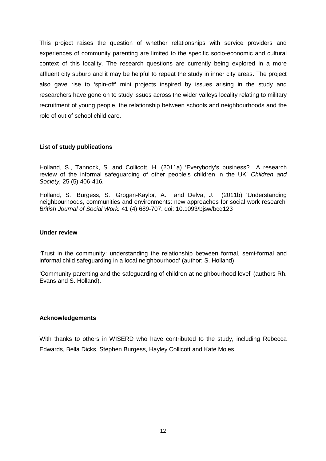This project raises the question of whether relationships with service providers and experiences of community parenting are limited to the specific socio-economic and cultural context of this locality. The research questions are currently being explored in a more affluent city suburb and it may be helpful to repeat the study in inner city areas. The project also gave rise to 'spin-off' mini projects inspired by issues arising in the study and researchers have gone on to study issues across the wider valleys locality relating to military recruitment of young people, the relationship between schools and neighbourhoods and the role of out of school child care.

# **List of study publications**

Holland, S., Tannock, S. and Collicott, H. (2011a) 'Everybody's business? A research review of the informal safeguarding of other people's children in the UK' Children and Society, 25 (5) 406-416.

Holland, S., Burgess, S., Grogan-Kaylor, A. and Delva, J. (2011b) 'Understanding neighbourhoods, communities and environments: new approaches for social work research' British Journal of Social Work. 41 (4) 689-707. doi: 10.1093/bjsw/bcq123

# **Under review**

'Trust in the community: understanding the relationship between formal, semi-formal and informal child safeguarding in a local neighbourhood' (author: S. Holland).

'Community parenting and the safeguarding of children at neighbourhood level' (authors Rh. Evans and S. Holland).

# **Acknowledgements**

With thanks to others in WISERD who have contributed to the study, including Rebecca Edwards, Bella Dicks, Stephen Burgess, Hayley Collicott and Kate Moles.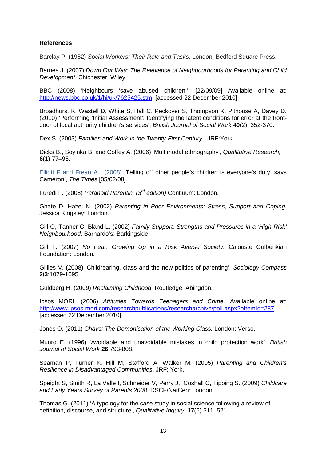# **References**

Barclay P. (1982) Social Workers: Their Role and Tasks. London: Bedford Square Press.

Barnes J. (2007) Down Our Way: The Relevance of Neighbourhoods for Parenting and Child Development. Chichester: Wiley.

BBC (2008) 'Neighbours 'save abused children.'' [22/09/09] Available online at: http://news.bbc.co.uk/1/hi/uk/7625425.stm. [accessed 22 December 2010]

Broadhurst K, Wastell D, White S, Hall C, Peckover S, Thompson K, Pithouse A, Davey D. (2010) 'Performing 'Initial Assessment': Identifying the latent conditions for error at the frontdoor of local authority children's services', British Journal of Social Work **40**(2): 352-370.

Dex S. (2003) Families and Work in the Twenty-First Century. JRF:York.

Dicks B., Soyinka B. and Coffey A. (2006) 'Multimodal ethnography', Qualitative Research, **6**(1) 77–96.

Elliott F and Frean A. (2008) 'Telling off other people's children is everyone's duty, says Cameron', The Times [05/02/08].

Furedi F. (2008) Paranoid Parentin.  $(3<sup>rd</sup>$  edition) Contiuum: London.

Ghate D, Hazel N. (2002) Parenting in Poor Environments: Stress, Support and Coping. Jessica Kingsley: London.

Gill O. Tanner C. Bland L. (2002) Family Support: Strengths and Pressures in a 'High Risk' Neighbourhood. Barnardo's: Barkingside.

Gill T. (2007) No Fear: Growing Up in a Risk Averse Society. Calouste Gulbenkian Foundation: London.

Gillies V. (2008) 'Childrearing, class and the new politics of parenting', Sociology Compass **2/3**:1079-1095.

Guldberg H. (2009) Reclaiming Childhood. Routledge: Abingdon.

Ipsos MORI. (2006) Attitudes Towards Teenagers and Crime. Available online at: http://www.ipsos-mori.com/researchpublications/researcharchive/poll.aspx?oItemId=287. [accessed 22 December 2010].

Jones O. (2011) Chavs: The Demonisation of the Working Class. London: Verso.

Munro E. (1996) 'Avoidable and unavoidable mistakes in child protection work', British Journal of Social Work **26**:793-808.

Seaman P, Turner K, Hill M, Stafford A, Walker M. (2005) Parenting and Children's Resilience in Disadvantaged Communities. JRF: York.

Speight S, Smith R, La Valle I, Schneider V, Perry J, Coshall C, Tipping S. (2009) Childcare and Early Years Survey of Parents 2008. DSCF/NatCen: London.

Thomas G. (2011) 'A typology for the case study in social science following a review of definition, discourse, and structure', Qualitative Inquiry, **17**(6) 511–521.